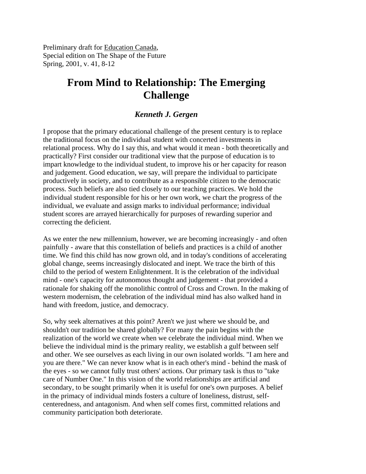Preliminary draft for Education Canada, Special edition on The Shape of the Future Spring, 2001, v. 41, 8-12

# **From Mind to Relationship: The Emerging Challenge**

## *Kenneth J. Gergen*

I propose that the primary educational challenge of the present century is to replace the traditional focus on the individual student with concerted investments in relational process. Why do I say this, and what would it mean - both theoretically and practically? First consider our traditional view that the purpose of education is to impart knowledge to the individual student, to improve his or her capacity for reason and judgement. Good education, we say, will prepare the individual to participate productively in society, and to contribute as a responsible citizen to the democratic process. Such beliefs are also tied closely to our teaching practices. We hold the individual student responsible for his or her own work, we chart the progress of the individual, we evaluate and assign marks to individual performance; individual student scores are arrayed hierarchically for purposes of rewarding superior and correcting the deficient.

As we enter the new millennium, however, we are becoming increasingly - and often painfully - aware that this constellation of beliefs and practices is a child of another time. We find this child has now grown old, and in today's conditions of accelerating global change, seems increasingly dislocated and inept. We trace the birth of this child to the period of western Enlightenment. It is the celebration of the individual mind - one's capacity for autonomous thought and judgement - that provided a rationale for shaking off the monolithic control of Cross and Crown. In the making of western modernism, the celebration of the individual mind has also walked hand in hand with freedom, justice, and democracy.

So, why seek alternatives at this point? Aren't we just where we should be, and shouldn't our tradition be shared globally? For many the pain begins with the realization of the world we create when we celebrate the individual mind. When we believe the individual mind is the primary reality, we establish a gulf between self and other. We see ourselves as each living in our own isolated worlds. "I am here and you are there." We can never know what is in each other's mind - behind the mask of the eyes - so we cannot fully trust others' actions. Our primary task is thus to "take care of Number One." In this vision of the world relationships are artificial and secondary, to be sought primarily when it is useful for one's own purposes. A belief in the primacy of individual minds fosters a culture of loneliness, distrust, selfcenteredness, and antagonism. And when self comes first, committed relations and community participation both deteriorate.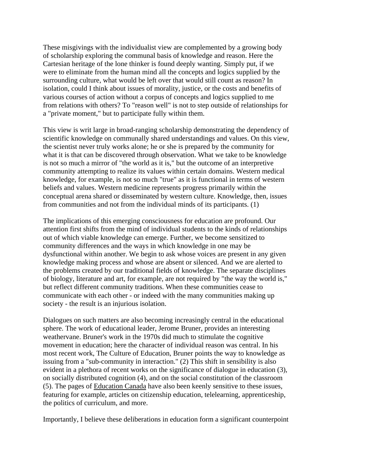These misgivings with the individualist view are complemented by a growing body of scholarship exploring the communal basis of knowledge and reason. Here the Cartesian heritage of the lone thinker is found deeply wanting. Simply put, if we were to eliminate from the human mind all the concepts and logics supplied by the surrounding culture, what would be left over that would still count as reason? In isolation, could I think about issues of morality, justice, or the costs and benefits of various courses of action without a corpus of concepts and logics supplied to me from relations with others? To "reason well" is not to step outside of relationships for a "private moment," but to participate fully within them.

This view is writ large in broad-ranging scholarship demonstrating the dependency of scientific knowledge on communally shared understandings and values. On this view, the scientist never truly works alone; he or she is prepared by the community for what it is that can be discovered through observation. What we take to be knowledge is not so much a mirror of "the world as it is," but the outcome of an interpretive community attempting to realize its values within certain domains. Western medical knowledge, for example, is not so much "true" as it is functional in terms of western beliefs and values. Western medicine represents progress primarily within the conceptual arena shared or disseminated by western culture. Knowledge, then, issues from communities and not from the individual minds of its participants. (1)

The implications of this emerging consciousness for education are profound. Our attention first shifts from the mind of individual students to the kinds of relationships out of which viable knowledge can emerge. Further, we become sensitized to community differences and the ways in which knowledge in one may be dysfunctional within another. We begin to ask whose voices are present in any given knowledge making process and whose are absent or silenced. And we are alerted to the problems created by our traditional fields of knowledge. The separate disciplines of biology, literature and art, for example, are not required by "the way the world is," but reflect different community traditions. When these communities cease to communicate with each other - or indeed with the many communities making up society - the result is an injurious isolation.

Dialogues on such matters are also becoming increasingly central in the educational sphere. The work of educational leader, Jerome Bruner, provides an interesting weathervane. Bruner's work in the 1970s did much to stimulate the cognitive movement in education; here the character of individual reason was central. In his most recent work, The Culture of Education, Bruner points the way to knowledge as issuing from a "sub-community in interaction." (2) This shift in sensibility is also evident in a plethora of recent works on the significance of dialogue in education (3), on socially distributed cognition (4), and on the social constitution of the classroom (5). The pages of Education Canada have also been keenly sensitive to these issues, featuring for example, articles on citizenship education, telelearning, apprenticeship, the politics of curriculum, and more.

Importantly, I believe these deliberations in education form a significant counterpoint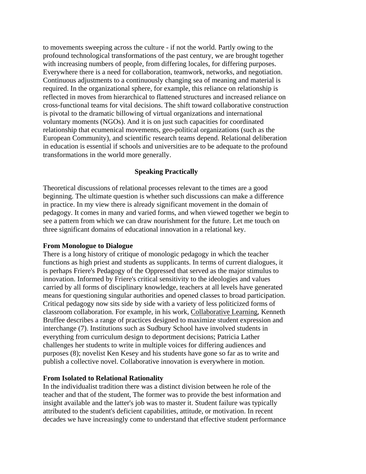to movements sweeping across the culture - if not the world. Partly owing to the profound technological transformations of the past century, we are brought together with increasing numbers of people, from differing locales, for differing purposes. Everywhere there is a need for collaboration, teamwork, networks, and negotiation. Continuous adjustments to a continuously changing sea of meaning and material is required. In the organizational sphere, for example, this reliance on relationship is reflected in moves from hierarchical to flattened structures and increased reliance on cross-functional teams for vital decisions. The shift toward collaborative construction is pivotal to the dramatic billowing of virtual organizations and international voluntary moments (NGOs). And it is on just such capacities for coordinated relationship that ecumenical movements, geo-political organizations (such as the European Community), and scientific research teams depend. Relational deliberation in education is essential if schools and universities are to be adequate to the profound transformations in the world more generally.

### **Speaking Practically**

Theoretical discussions of relational processes relevant to the times are a good beginning. The ultimate question is whether such discussions can make a difference in practice. In my view there is already significant movement in the domain of pedagogy. It comes in many and varied forms, and when viewed together we begin to see a pattern from which we can draw nourishment for the future. Let me touch on three significant domains of educational innovation in a relational key.

#### **From Monologue to Dialogue**

There is a long history of critique of monologic pedagogy in which the teacher functions as high priest and students as supplicants. In terms of current dialogues, it is perhaps Friere's Pedagogy of the Oppressed that served as the major stimulus to innovation. Informed by Friere's critical sensitivity to the ideologies and values carried by all forms of disciplinary knowledge, teachers at all levels have generated means for questioning singular authorities and opened classes to broad participation. Critical pedagogy now sits side by side with a variety of less politicized forms of classroom collaboration. For example, in his work, Collaborative Learning, Kenneth Bruffee describes a range of practices designed to maximize student expression and interchange (7). Institutions such as Sudbury School have involved students in everything from curriculum design to deportment decisions; Patricia Lather challenges her students to write in multiple voices for differing audiences and purposes (8); novelist Ken Kesey and his students have gone so far as to write and publish a collective novel. Collaborative innovation is everywhere in motion.

#### **From Isolated to Relational Rationality**

In the individualist tradition there was a distinct division between he role of the teacher and that of the student, The former was to provide the best information and insight available and the latter's job was to master it. Student failure was typically attributed to the student's deficient capabilities, attitude, or motivation. In recent decades we have increasingly come to understand that effective student performance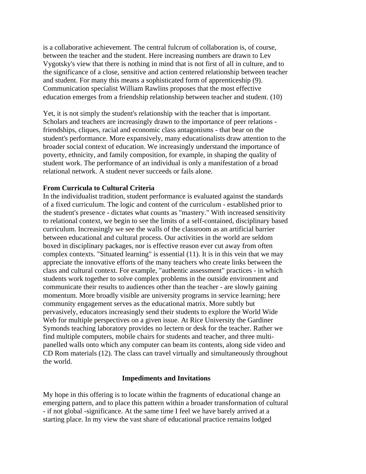is a collaborative achievement. The central fulcrum of collaboration is, of course, between the teacher and the student. Here increasing numbers are drawn to Lev Vygotsky's view that there is nothing in mind that is not first of all in culture, and to the significance of a close, sensitive and action centered relationship between teacher and student. For many this means a sophisticated form of apprenticeship (9). Communication specialist William Rawlins proposes that the most effective education emerges from a friendship relationship between teacher and student. (10)

Yet, it is not simply the student's relationship with the teacher that is important. Scholars and teachers are increasingly drawn to the importance of peer relations friendships, cliques, racial and economic class antagonisms - that bear on the student's performance. More expansively, many educationalists draw attention to the broader social context of education. We increasingly understand the importance of poverty, ethnicity, and family composition, for example, in shaping the quality of student work. The performance of an individual is only a manifestation of a broad relational network. A student never succeeds or fails alone.

#### **From Curricula to Cultural Criteria**

In the individualist tradition, student performance is evaluated against the standards of a fixed curriculum. The logic and content of the curriculum - established prior to the student's presence - dictates what counts as "mastery." With increased sensitivity to relational context, we begin to see the limits of a self-contained, disciplinary based curriculum. Increasingly we see the walls of the classroom as an artificial barrier between educational and cultural process. Our activities in the world are seldom boxed in disciplinary packages, nor is effective reason ever cut away from often complex contexts. "Situated learning" is essential (11). It is in this vein that we may appreciate the innovative efforts of the many teachers who create links between the class and cultural context. For example, "authentic assessment" practices - in which students work together to solve complex problems in the outside environment and communicate their results to audiences other than the teacher - are slowly gaining momentum. More broadly visible are university programs in service learning; here community engagement serves as the educational matrix. More subtly but pervasively, educators increasingly send their students to explore the World Wide Web for multiple perspectives on a given issue. At Rice University the Gardiner Symonds teaching laboratory provides no lectern or desk for the teacher. Rather we find multiple computers, mobile chairs for students and teacher, and three multipanelled walls onto which any computer can beam its contents, along side video and CD Rom materials (12). The class can travel virtually and simultaneously throughout the world.

#### **Impediments and Invitations**

My hope in this offering is to locate within the fragments of educational change an emerging pattern, and to place this pattern within a broader transformation of cultural - if not global -significance. At the same time I feel we have barely arrived at a starting place. In my view the vast share of educational practice remains lodged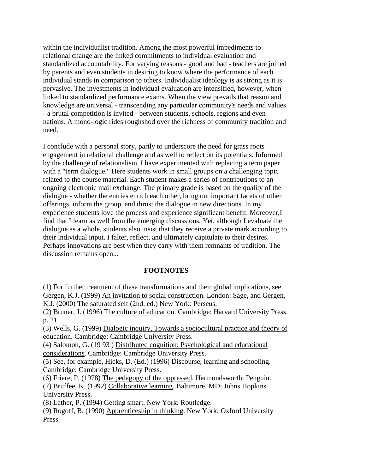within the individualist tradition. Among the most powerful impediments to relational change are the linked commitments to individual evaluation and standardized accountability. For varying reasons - good and bad - teachers are joined by parents and even students in desiring to know where the performance of each individual stands in comparison to others. Individualist ideology is as strong as it is pervasive. The investments in individual evaluation are intensified, however, when linked to standardized performance exams. When the view prevails that reason and knowledge are universal - transcending any particular community's needs and values - a brutal competition is invited - between students, schools, regions and even nations. A mono-logic rides roughshod over the richness of community tradition and need.

I conclude with a personal story, partly to underscore the need for grass roots engagement in relational challenge and as well to reflect on its potentials. Informed by the challenge of relationalism, I have experimented with replacing a term paper with a "term dialogue." Here students work in small groups on a challenging topic related to the course material. Each student makes a series of contributions to an ongoing electronic mail exchange. The primary grade is based on the quality of the dialogue - whether the entries enrich each other, bring out important facets of other offerings, inform the group, and thrust the dialogue in new directions. In my experience students love the process and experience significant benefit. Moreover,I find that I learn as well from the emerging discussions. Yet, although I evaluate the dialogue as a whole, students also insist that they receive a private mark according to their individual input. I falter, reflect, and ultimately capitulate to their desires. Perhaps innovations are best when they carry with them remnants of tradition. The discussion remains open...

#### **FOOTNOTES**

(1) For further treatment of these transformations and their global implications, see Gergen, K.J. (1999) An invitation to social construction. London: Sage, and Gergen, K.J. (2000) The saturated self (2nd. ed.) New York: Perseus.

(2) Bruner, J. (1996) The culture of education. Cambridge: Harvard University Press. p. 21

(3) Wells, G. (1999) Dialogic inquiry, Towards a sociocultural practice and theory of education. Cambridge: Cambridge University Press.

(4) Salomon, G. (19 93 ) Distributed cognition: Psychological and educational considerations. Cambridge: Cambridge University Press.

(5) See, for example, Hicks, D. (Ed.) (1996) Discourse, learning and schooling. Cambridge: Cambridge University Press.

(6) Friere, P. (1978) The pedagogy of the oppressed. Harmondsworth: Penguin.

(7) Bruffee, K. (1992) Collaborative learning. Baltimore, MD: Johns Hopkins University Press.

(8) Lather, P. (1994) Getting smart. New York: Routledge.

(9) Rogoff, B. (1990) Apprenticeship in thinking. New York: Oxford University Press.